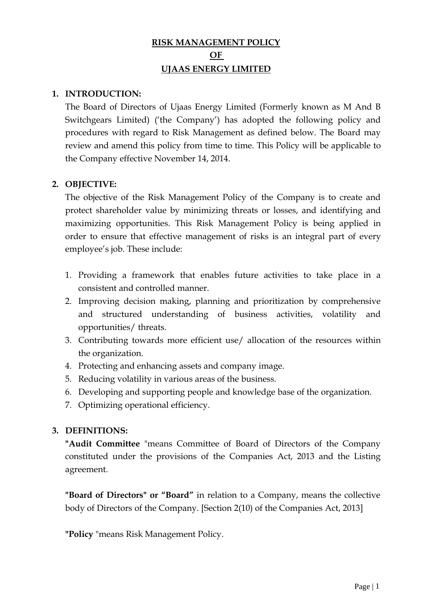# **RISK MANAGEMENT POLICY OF UJAAS ENERGY LIMITED**

## **1. INTRODUCTION:**

The Board of Directors of Ujaas Energy Limited (Formerly known as M And B Switchgears Limited) ('the Company') has adopted the following policy and procedures with regard to Risk Management as defined below. The Board may review and amend this policy from time to time. This Policy will be applicable to the Company effective November 14, 2014.

### **2. OBJECTIVE:**

The objective of the Risk Management Policy of the Company is to create and protect shareholder value by minimizing threats or losses, and identifying and maximizing opportunities. This Risk Management Policy is being applied in order to ensure that effective management of risks is an integral part of every employee's job. These include:

- 1. Providing a framework that enables future activities to take place in a consistent and controlled manner.
- 2. Improving decision making, planning and prioritization by comprehensive and structured understanding of business activities, volatility and opportunities/ threats.
- 3. Contributing towards more efficient use/ allocation of the resources within the organization.
- 4. Protecting and enhancing assets and company image.
- 5. Reducing volatility in various areas of the business.
- 6. Developing and supporting people and knowledge base of the organization.
- 7. Optimizing operational efficiency.

## **3. DEFINITIONS:**

**"Audit Committee** "means Committee of Board of Directors of the Company constituted under the provisions of the Companies Act, 2013 and the Listing agreement.

**"Board of Directors" or "Board"** in relation to a Company, means the collective body of Directors of the Company. [Section 2(10) of the Companies Act, 2013]

**"Policy** "means Risk Management Policy.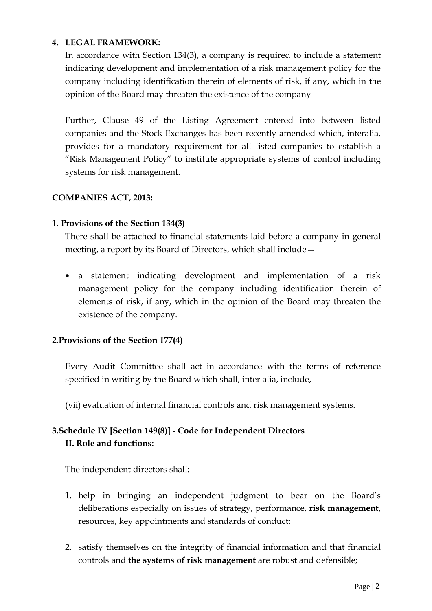## **4. LEGAL FRAMEWORK:**

In accordance with Section 134(3), a company is required to include a statement indicating development and implementation of a risk management policy for the company including identification therein of elements of risk, if any, which in the opinion of the Board may threaten the existence of the company

Further, Clause 49 of the Listing Agreement entered into between listed companies and the Stock Exchanges has been recently amended which, interalia, provides for a mandatory requirement for all listed companies to establish a "Risk Management Policy" to institute appropriate systems of control including systems for risk management.

## **COMPANIES ACT, 2013:**

### 1. **Provisions of the Section 134(3)**

There shall be attached to financial statements laid before a company in general meeting, a report by its Board of Directors, which shall include—

• a statement indicating development and implementation of a risk management policy for the company including identification therein of elements of risk, if any, which in the opinion of the Board may threaten the existence of the company.

## **2.Provisions of the Section 177(4)**

Every Audit Committee shall act in accordance with the terms of reference specified in writing by the Board which shall, inter alia, include,—

(vii) evaluation of internal financial controls and risk management systems.

# **3.Schedule IV [Section 149(8)] - Code for Independent Directors II. Role and functions:**

The independent directors shall:

- 1. help in bringing an independent judgment to bear on the Board's deliberations especially on issues of strategy, performance, **risk management,** resources, key appointments and standards of conduct;
- 2. satisfy themselves on the integrity of financial information and that financial controls and **the systems of risk management** are robust and defensible;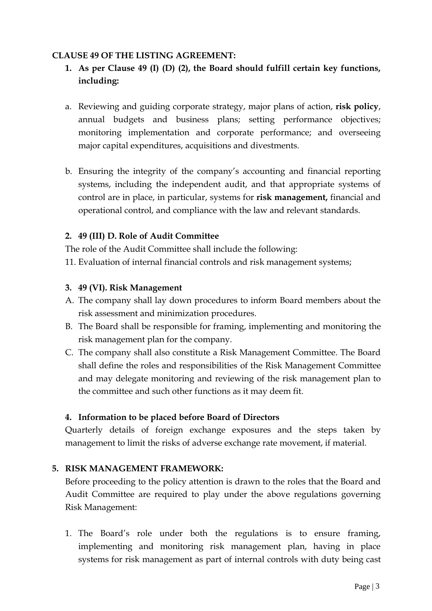### **CLAUSE 49 OF THE LISTING AGREEMENT:**

- **1. As per Clause 49 (I) (D) (2), the Board should fulfill certain key functions, including:**
- a. Reviewing and guiding corporate strategy, major plans of action, **risk policy**, annual budgets and business plans; setting performance objectives; monitoring implementation and corporate performance; and overseeing major capital expenditures, acquisitions and divestments.
- b. Ensuring the integrity of the company's accounting and financial reporting systems, including the independent audit, and that appropriate systems of control are in place, in particular, systems for **risk management,** financial and operational control, and compliance with the law and relevant standards.

## **2. 49 (III) D. Role of Audit Committee**

The role of the Audit Committee shall include the following:

11. Evaluation of internal financial controls and risk management systems;

### **3. 49 (VI). Risk Management**

- A. The company shall lay down procedures to inform Board members about the risk assessment and minimization procedures.
- B. The Board shall be responsible for framing, implementing and monitoring the risk management plan for the company.
- C. The company shall also constitute a Risk Management Committee. The Board shall define the roles and responsibilities of the Risk Management Committee and may delegate monitoring and reviewing of the risk management plan to the committee and such other functions as it may deem fit.

## **4. Information to be placed before Board of Directors**

Quarterly details of foreign exchange exposures and the steps taken by management to limit the risks of adverse exchange rate movement, if material.

## **5. RISK MANAGEMENT FRAMEWORK:**

Before proceeding to the policy attention is drawn to the roles that the Board and Audit Committee are required to play under the above regulations governing Risk Management:

1. The Board's role under both the regulations is to ensure framing, implementing and monitoring risk management plan, having in place systems for risk management as part of internal controls with duty being cast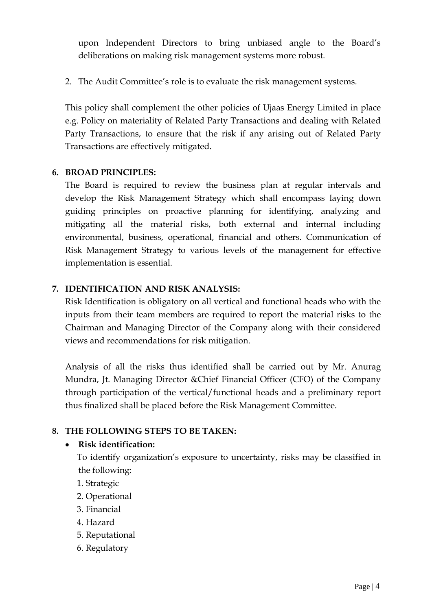upon Independent Directors to bring unbiased angle to the Board's deliberations on making risk management systems more robust.

2. The Audit Committee's role is to evaluate the risk management systems.

This policy shall complement the other policies of Ujaas Energy Limited in place e.g. Policy on materiality of Related Party Transactions and dealing with Related Party Transactions, to ensure that the risk if any arising out of Related Party Transactions are effectively mitigated.

### **6. BROAD PRINCIPLES:**

The Board is required to review the business plan at regular intervals and develop the Risk Management Strategy which shall encompass laying down guiding principles on proactive planning for identifying, analyzing and mitigating all the material risks, both external and internal including environmental, business, operational, financial and others. Communication of Risk Management Strategy to various levels of the management for effective implementation is essential.

## **7. IDENTIFICATION AND RISK ANALYSIS:**

Risk Identification is obligatory on all vertical and functional heads who with the inputs from their team members are required to report the material risks to the Chairman and Managing Director of the Company along with their considered views and recommendations for risk mitigation.

Analysis of all the risks thus identified shall be carried out by Mr. Anurag Mundra, Jt. Managing Director &Chief Financial Officer (CFO) of the Company through participation of the vertical/functional heads and a preliminary report thus finalized shall be placed before the Risk Management Committee.

## **8. THE FOLLOWING STEPS TO BE TAKEN:**

## • **Risk identification:**

To identify organization's exposure to uncertainty, risks may be classified in the following:

- 1. Strategic
- 2. Operational
- 3. Financial
- 4. Hazard
- 5. Reputational
- 6. Regulatory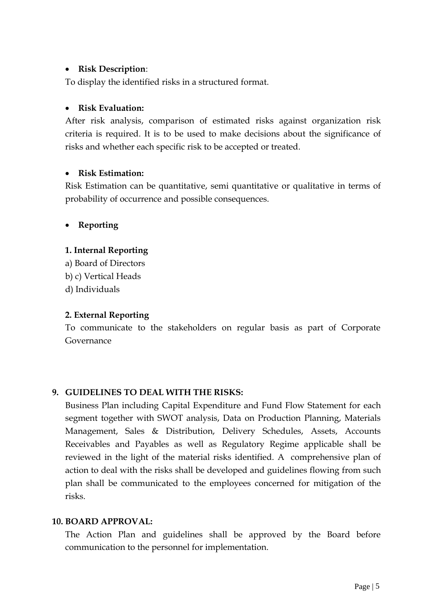### • **Risk Description**:

To display the identified risks in a structured format.

### • **Risk Evaluation:**

After risk analysis, comparison of estimated risks against organization risk criteria is required. It is to be used to make decisions about the significance of risks and whether each specific risk to be accepted or treated.

## • **Risk Estimation:**

Risk Estimation can be quantitative, semi quantitative or qualitative in terms of probability of occurrence and possible consequences.

## • **Reporting**

## **1. Internal Reporting**

a) Board of Directors b) c) Vertical Heads d) Individuals

## **2. External Reporting**

To communicate to the stakeholders on regular basis as part of Corporate Governance

## **9. GUIDELINES TO DEAL WITH THE RISKS:**

Business Plan including Capital Expenditure and Fund Flow Statement for each segment together with SWOT analysis, Data on Production Planning, Materials Management, Sales & Distribution, Delivery Schedules, Assets, Accounts Receivables and Payables as well as Regulatory Regime applicable shall be reviewed in the light of the material risks identified. A comprehensive plan of action to deal with the risks shall be developed and guidelines flowing from such plan shall be communicated to the employees concerned for mitigation of the risks.

## **10. BOARD APPROVAL:**

The Action Plan and guidelines shall be approved by the Board before communication to the personnel for implementation.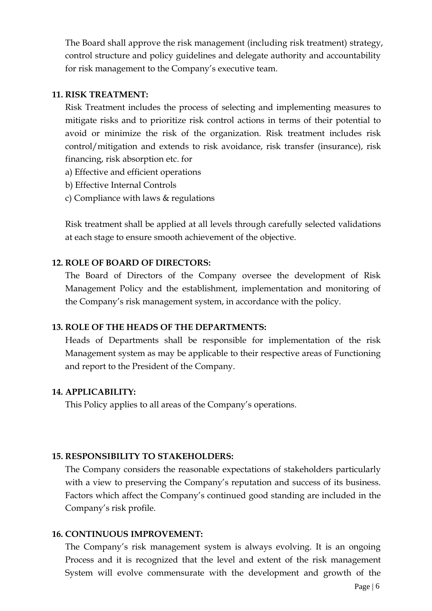The Board shall approve the risk management (including risk treatment) strategy, control structure and policy guidelines and delegate authority and accountability for risk management to the Company's executive team.

#### **11. RISK TREATMENT:**

Risk Treatment includes the process of selecting and implementing measures to mitigate risks and to prioritize risk control actions in terms of their potential to avoid or minimize the risk of the organization. Risk treatment includes risk control/mitigation and extends to risk avoidance, risk transfer (insurance), risk financing, risk absorption etc. for

- a) Effective and efficient operations
- b) Effective Internal Controls
- c) Compliance with laws & regulations

Risk treatment shall be applied at all levels through carefully selected validations at each stage to ensure smooth achievement of the objective.

#### **12. ROLE OF BOARD OF DIRECTORS:**

The Board of Directors of the Company oversee the development of Risk Management Policy and the establishment, implementation and monitoring of the Company's risk management system, in accordance with the policy.

#### **13. ROLE OF THE HEADS OF THE DEPARTMENTS:**

Heads of Departments shall be responsible for implementation of the risk Management system as may be applicable to their respective areas of Functioning and report to the President of the Company.

#### **14. APPLICABILITY:**

This Policy applies to all areas of the Company's operations.

#### **15. RESPONSIBILITY TO STAKEHOLDERS:**

The Company considers the reasonable expectations of stakeholders particularly with a view to preserving the Company's reputation and success of its business. Factors which affect the Company's continued good standing are included in the Company's risk profile.

#### **16. CONTINUOUS IMPROVEMENT:**

The Company's risk management system is always evolving. It is an ongoing Process and it is recognized that the level and extent of the risk management System will evolve commensurate with the development and growth of the